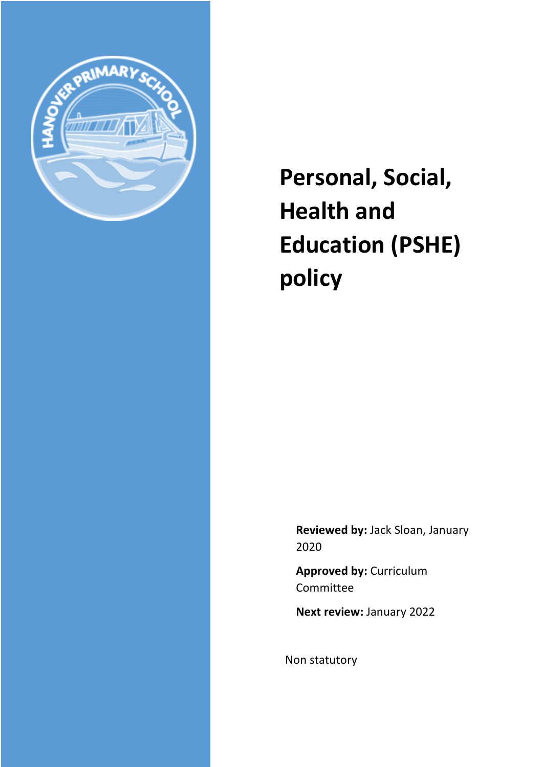

**Personal, Social, Health and Education (PSHE) policy**

**Reviewed by:** Jack Sloan, January 2020

**Approved by:** Curriculum Committee

**Next review:** January 2022

Non statutory